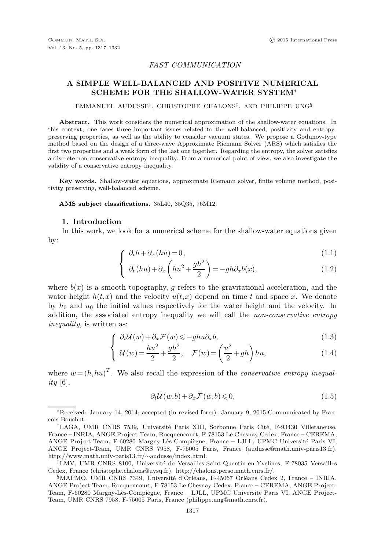## FAST COMMUNICATION

# **A SIMPLE WELL-BALANCED AND POSITIVE NUMERICAL SCHEME FOR THE SHALLOW-WATER SYSTEM**<sup>∗</sup>

EMMANUEL AUDUSSE<sup>†</sup>, CHRISTOPHE CHALONS<sup>‡</sup>, AND PHILIPPE UNG<sup>§</sup>

**Abstract.** This work considers the numerical approximation of the shallow-water equations. In this context, one faces three important issues related to the well-balanced, positivity and entropypreserving properties, as well as the ability to consider vacuum states. We propose a Godunov-type method based on the design of a three-wave Approximate Riemann Solver (ARS) which satisfies the first two properties and a weak form of the last one together. Regarding the entropy, the solver satisfies a discrete non-conservative entropy inequality. From a numerical point of view, we also investigate the validity of a conservative entropy inequality.

**Key words.** Shallow-water equations, approximate Riemann solver, finite volume method, positivity preserving, well-balanced scheme.

**AMS subject classifications.** 35L40, 35Q35, 76M12.

#### **1. Introduction**

In this work, we look for a numerical scheme for the shallow-water equations given by:

$$
\int \partial_t h + \partial_x (hu) = 0,\tag{1.1}
$$

$$
\begin{cases}\n\partial_t (hu) + \partial_x \left( hu^2 + \frac{gh^2}{2} \right) = -gh \partial_x b(x),\n\end{cases} (1.2)
$$

where  $b(x)$  is a smooth topography, g refers to the gravitational acceleration, and the water height  $h(t,x)$  and the velocity  $u(t,x)$  depend on time t and space x. We denote by  $h_0$  and  $u_0$  the initial values respectively for the water height and the velocity. In addition, the associated entropy inequality we will call the non-conservative entropy inequality, is written as:

$$
\int \partial_t \mathcal{U}(w) + \partial_x \mathcal{F}(w) \leqslant -ghu\partial_x b,\tag{1.3}
$$

$$
\begin{cases}\n\mathcal{U}(w) = \frac{hu^2}{2} + \frac{gh^2}{2}, & \mathcal{F}(w) = \left(\frac{u^2}{2} + gh\right)hu,\n\end{cases}
$$
\n(1.4)

where  $w = (h, hu)^T$ . We also recall the expression of the *conservative entropy inequal*ity [6],

$$
\partial_t \tilde{\mathcal{U}}(w, b) + \partial_x \tilde{\mathcal{F}}(w, b) \leq 0,\tag{1.5}
$$

<sup>∗</sup>Received: January 14, 2014; accepted (in revised form): January 9, 2015.Communicated by Francois Bouchut.

<sup>&</sup>lt;sup>†</sup>LAGA, UMR CNRS 7539, Université Paris XIII, Sorbonne Paris Cité, F-93430 Villetaneuse, France – INRIA, ANGE Project-Team, Rocquencourt, F-78153 Le Chesnay Cedex, France – CEREMA, ANGE Project-Team, F-60280 Margny-Lès-Compiègne, France – LJLL, UPMC Université Paris VI, ANGE Project-Team, UMR CNRS 7958, F-75005 Paris, France (audusse@math.univ-paris13.fr). http://www.math.univ-paris13.fr/∼audusse/index.html.

 $*L$ MV, UMR CNRS 8100, Université de Versailles-Saint-Quentin-en-Yvelines, F-78035 Versailles Cedex, France (christophe.chalons@uvsq.fr). http://chalons.perso.math.cnrs.fr/.

<sup>§</sup>MAPMO, UMR CNRS 7349, Université d'Orléans, F-45067 Orléans Cedex 2, France – INRIA, ANGE Project-Team, Rocquencourt, F-78153 Le Chesnay Cedex, France – CEREMA, ANGE Project-Team, F-60280 Margny-Lès-Compiègne, France – LJLL, UPMC Université Paris VI, ANGE Project-Team, UMR CNRS 7958, F-75005 Paris, France (philippe.ung@math.cnrs.fr).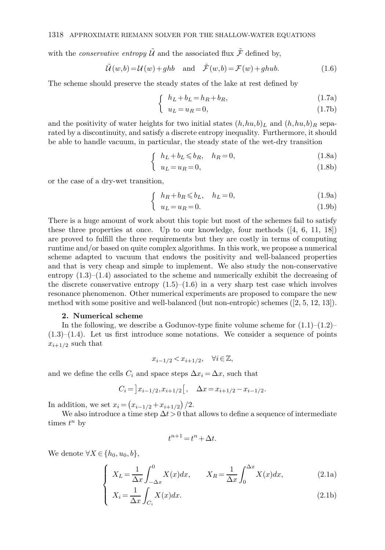with the *conservative entropy*  $\tilde{U}$  and the associated flux  $\tilde{\mathcal{F}}$  defined by,

$$
\tilde{\mathcal{U}}(w,b) = \mathcal{U}(w) + ghb \quad \text{and} \quad \tilde{\mathcal{F}}(w,b) = \mathcal{F}(w) + ghub.
$$
 (1.6)

The scheme should preserve the steady states of the lake at rest defined by

$$
\int h_L + b_L = h_R + b_R,\tag{1.7a}
$$

$$
u_L = u_R = 0,\t\t(1.7b)
$$

and the positivity of water heights for two initial states  $(h,hu,b)_L$  and  $(h,hu,b)_R$  separated by a discontinuity, and satisfy a discrete entropy inequality. Furthermore, it should be able to handle vacuum, in particular, the steady state of the wet-dry transition

$$
\int h_L + b_L \leqslant b_R, \quad h_R = 0,\tag{1.8a}
$$

$$
u_L = u_R = 0,\t\t(1.8b)
$$

or the case of a dry-wet transition,

$$
\int h_R + b_R \leqslant b_L, \quad h_L = 0,\tag{1.9a}
$$

$$
\begin{cases}\nu_L = u_R = 0.\n\end{cases} \tag{1.9b}
$$

There is a huge amount of work about this topic but most of the schemes fail to satisfy these three properties at once. Up to our knowledge, four methods  $([4, 6, 11, 18])$ are proved to fulfill the three requirements but they are costly in terms of computing runtime and/or based on quite complex algorithms. In this work, we propose a numerical scheme adapted to vacuum that endows the positivity and well-balanced properties and that is very cheap and simple to implement. We also study the non-conservative entropy  $(1.3)$ – $(1.4)$  associated to the scheme and numerically exhibit the decreasing of the discrete conservative entropy  $(1.5)$ – $(1.6)$  in a very sharp test case which involves resonance phenomenon. Other numerical experiments are proposed to compare the new method with some positive and well-balanced (but non-entropic) schemes ([2, 5, 12, 13]).

#### **2. Numerical scheme**

In the following, we describe a Godunov-type finite volume scheme for  $(1.1)$ – $(1.2)$ –  $(1.3)$ – $(1.4)$ . Let us first introduce some notations. We consider a sequence of points  $x_{i+1/2}$  such that

$$
x_{i-1/2} < x_{i+1/2}, \quad \forall i \in \mathbb{Z},
$$

and we define the cells  $C_i$  and space steps  $\Delta x_i = \Delta x$ , such that

$$
C_i = \big] x_{i-1/2}, x_{i+1/2} \big[ , \quad \Delta x = x_{i+1/2} - x_{i-1/2} .
$$

In addition, we set  $x_i = (x_{i-1/2} + x_{i+1/2})/2$ .

We also introduce a time step  $\Delta t > 0$  that allows to define a sequence of intermediate times  $t^n$  by

$$
t^{n+1} = t^n + \Delta t.
$$

We denote  $\forall X \in \{h_0, u_0, b\},\$ 

$$
\int X_L = \frac{1}{\Delta x} \int_{-\Delta x}^0 X(x) dx, \qquad X_R = \frac{1}{\Delta x} \int_0^{\Delta x} X(x) dx, \tag{2.1a}
$$

$$
\left(X_i = \frac{1}{\Delta x} \int_{C_i} X(x) dx.\right)
$$
\n(2.1b)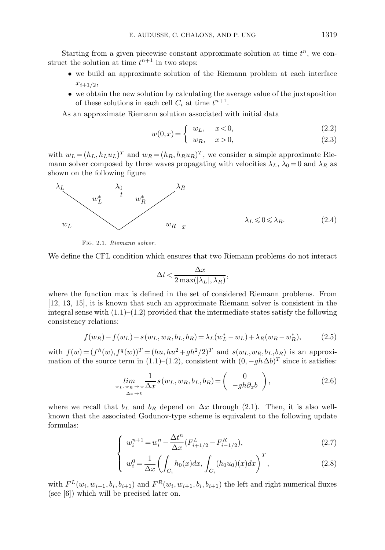Starting from a given piecewise constant approximate solution at time  $t^n$ , we construct the solution at time  $t^{n+1}$  in two steps:

- we build an approximate solution of the Riemann problem at each interface  $x_{i+1/2},$
- we obtain the new solution by calculating the average value of the juxtaposition of these solutions in each cell  $C_i$  at time  $t^{n+1}$ .

As an approximate Riemann solution associated with initial data

$$
w(0,x) = \begin{cases} w_L, & x < 0, \\ w_R, & x > 0, \end{cases}
$$
 (2.2)

with  $w_L = (h_L, h_L u_L)^T$  and  $w_R = (h_R, h_R u_R)^T$ , we consider a simple approximate Riemann solver composed by three waves propagating with velocities  $\lambda_L$ ,  $\lambda_0 = 0$  and  $\lambda_R$  as shown on the following figure



Fig. 2.1. Riemann solver.

We define the CFL condition which ensures that two Riemann problems do not interact

$$
\Delta t < \frac{\Delta x}{2 \max(|\lambda_L|, \lambda_R)},
$$

where the function max is defined in the set of considered Riemann problems. From [12, 13, 15], it is known that such an approximate Riemann solver is consistent in the integral sense with  $(1.1)$ – $(1.2)$  provided that the intermediate states satisfy the following consistency relations:

$$
f(w_R) - f(w_L) - s(w_L, w_R, b_L, b_R) = \lambda_L (w_L^* - w_L) + \lambda_R (w_R - w_R^*),
$$
 (2.5)

with  $f(w)=(f^h(w),f^q(w))^T=(hu,hu^2+gh^2/2)^T$  and  $s(w_L,w_R,b_L,b_R)$  is an approximation of the source term in (1.1)–(1.2), consistent with  $(0, -gh\Delta b)^T$  since it satisfies:

$$
\lim_{\substack{w_L, w_R \to w \\ \Delta x \to 0}} \frac{1}{\Delta x} s(w_L, w_R, b_L, b_R) = \begin{pmatrix} 0 \\ -gh \partial_x b \end{pmatrix},
$$
\n(2.6)

where we recall that  $b_L$  and  $b_R$  depend on  $\Delta x$  through (2.1). Then, it is also wellknown that the associated Godunov-type scheme is equivalent to the following update formulas:

$$
\int w_i^{n+1} = w_i^n - \frac{\Delta t^n}{\Delta x} (F_{i+1/2}^L - F_{i-1/2}^R),
$$
\n(2.7)

$$
\left\{ w_i^0 = \frac{1}{\Delta x} \left( \int_{C_i} h_0(x) dx, \int_{C_i} (h_0 u_0)(x) dx \right)^T, \right\} (2.8)
$$

with  $F^{L}(w_i, w_{i+1}, b_i, b_{i+1})$  and  $F^{R}(w_i, w_{i+1}, b_i, b_{i+1})$  the left and right numerical fluxes (see [6]) which will be precised later on.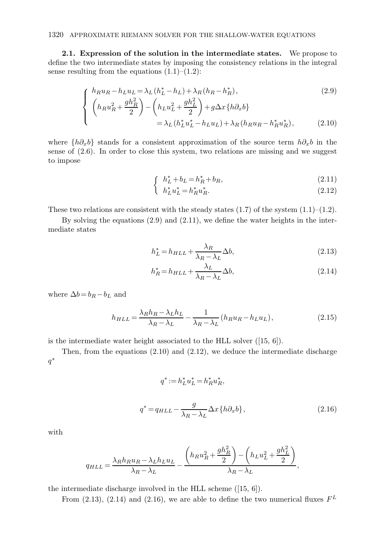**2.1. Expression of the solution in the intermediate states.** We propose to define the two intermediate states by imposing the consistency relations in the integral sense resulting from the equations  $(1.1)$ – $(1.2)$ :

$$
\begin{cases}\nh_R u_R - h_L u_L = \lambda_L (h_L^* - h_L) + \lambda_R (h_R - h_R^*), & (2.9) \\
\left(h_R u_R^2 + \frac{gh_R^2}{2}\right) - \left(h_L u_L^2 + \frac{gh_L^2}{2}\right) + g\Delta x \{h\partial_x b\} \\
= \lambda_L (h_L^* u_L^* - h_L u_L) + \lambda_R (h_R u_R - h_R^* u_R^*), & (2.10)\n\end{cases}
$$

where  $\{h\partial_x b\}$  stands for a consistent approximation of the source term  $h\partial_x b$  in the sense of (2.6). In order to close this system, two relations are missing and we suggest to impose

$$
\int h_L^* + b_L = h_R^* + b_R,\tag{2.11}
$$

$$
(2.12)
$$

These two relations are consistent with the steady states  $(1.7)$  of the system  $(1.1)$ – $(1.2)$ .

By solving the equations (2.9) and (2.11), we define the water heights in the intermediate states

$$
h_L^* = h_{HLL} + \frac{\lambda_R}{\lambda_R - \lambda_L} \Delta b,\tag{2.13}
$$

$$
h_R^* = h_{HLL} + \frac{\lambda_L}{\lambda_R - \lambda_L} \Delta b,\tag{2.14}
$$

where  $\Delta b = b_R - b_L$  and

$$
h_{HLL} = \frac{\lambda_R h_R - \lambda_L h_L}{\lambda_R - \lambda_L} - \frac{1}{\lambda_R - \lambda_L} (h_R u_R - h_L u_L),
$$
\n(2.15)

is the intermediate water height associated to the HLL solver ([15, 6]).

Then, from the equations  $(2.10)$  and  $(2.12)$ , we deduce the intermediate discharge q∗

$$
q^* := h_L^* u_L^* = h_R^* u_R^*,
$$
  

$$
q^* = q_{HLL} - \frac{g}{\lambda_R - \lambda_L} \Delta x \{ h \partial_x b \},
$$
 (2.16)

with

$$
q_{HLL}=\frac{\lambda_R h_R u_R-\lambda_L h_L u_L}{\lambda_R-\lambda_L}-\frac{\left(h_R u_R^2+\frac{gh_R^2}{2}\right)-\left(h_L u_L^2+\frac{gh_L^2}{2}\right)}{\lambda_R-\lambda_L},
$$

the intermediate discharge involved in the HLL scheme ([15, 6]).

From (2.13), (2.14) and (2.16), we are able to define the two numerical fluxes  $F<sup>L</sup>$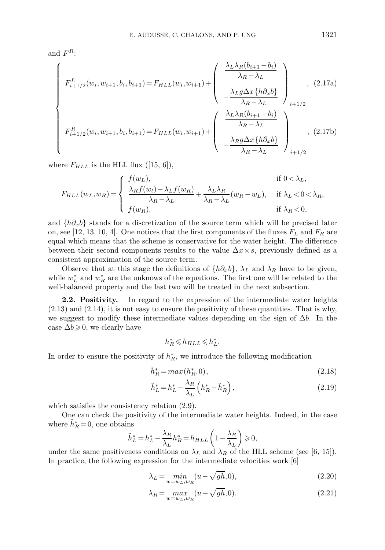and  $F^R$ :

$$
\begin{cases}\nF_{i+1/2}^{L}(w_{i}, w_{i+1}, b_{i}, b_{i+1}) = F_{HLL}(w_{i}, w_{i+1}) + \begin{pmatrix}\n\frac{\lambda_L \lambda_R (b_{i+1} - b_{i})}{\lambda_R - \lambda_L} \\
-\frac{\lambda_L g \Delta x \{h \partial_x b\}}{\lambda_R - \lambda_L}\n\end{pmatrix}_{i+1/2}, \\
F_{i+1/2}^{R}(w_{i}, w_{i+1}, b_{i}, b_{i+1}) = F_{HLL}(w_{i}, w_{i+1}) + \begin{pmatrix}\n\frac{\lambda_L \lambda_R (b_{i+1} - b_{i})}{\lambda_R - \lambda_L} \\
-\frac{\lambda_R g \Delta x \{h \partial_x b\}}{\lambda_R - \lambda_L}\n\end{pmatrix}_{i+1/2}, (2.17b)\n\end{cases}
$$

where  $F_{HLL}$  is the HLL flux ([15, 6]),

$$
F_{HLL}(w_L, w_R) = \begin{cases} f(w_L), & \text{if } 0 < \lambda_L, \\ \frac{\lambda_R f(w_l) - \lambda_L f(w_R)}{\lambda_R - \lambda_L} + \frac{\lambda_L \lambda_R}{\lambda_R - \lambda_L} (w_R - w_L), & \text{if } \lambda_L < 0 < \lambda_R, \\ f(w_R), & \text{if } \lambda_R < 0, \end{cases}
$$

and  $\{\hbar\partial_x b\}$  stands for a discretization of the source term which will be precised later on, see [12, 13, 10, 4]. One notices that the first components of the fluxes  $F_L$  and  $F_R$  are equal which means that the scheme is conservative for the water height. The difference between their second components results to the value  $\Delta x \times s$ , previously defined as a consistent approximation of the source term.

Observe that at this stage the definitions of  $\{h\partial_x b\}$ ,  $\lambda_L$  and  $\lambda_R$  have to be given, while  $w<sub>L</sub><sup>*</sup>$  and  $w<sub>R</sub><sup>*</sup>$  are the unknows of the equations. The first one will be related to the well-balanced property and the last two will be treated in the next subsection.

**2.2. Positivity.** In regard to the expression of the intermediate water heights (2.13) and (2.14), it is not easy to ensure the positivity of these quantities. That is why, we suggest to modify these intermediate values depending on the sign of  $\Delta b$ . In the case  $\Delta b \geqslant 0$ , we clearly have

$$
h^*_{R} \leqslant h_{HLL} \leqslant h^*_{L}.
$$

In order to ensure the positivity of  $h_R^*$ , we introduce the following modification

$$
\tilde{h}_R^* = \max(h_R^*, 0),\tag{2.18}
$$

$$
\tilde{h}_L^* = h_L^* - \frac{\lambda_R}{\lambda_L} \left( h_R^* - \tilde{h}_R^* \right),\tag{2.19}
$$

which satisfies the consistency relation (2.9).

One can check the positivity of the intermediate water heights. Indeed, in the case where  $\tilde{h}_R^* = 0$ , one obtains

$$
\tilde{h}_L^* = h_L^* - \frac{\lambda_R}{\lambda_L} h_R^* = h_{HLL} \left( 1 - \frac{\lambda_R}{\lambda_L} \right) \ge 0,
$$

under the same positiveness conditions on  $\lambda_L$  and  $\lambda_R$  of the HLL scheme (see [6, 15]). In practice, the following expression for the intermediate velocities work [6]

$$
\lambda_L = \min_{w = w_L, w_R} (u - \sqrt{gh}, 0),
$$
\n(2.20)

$$
\lambda_R = \max_{w = w_L, w_R} (u + \sqrt{gh}, 0). \tag{2.21}
$$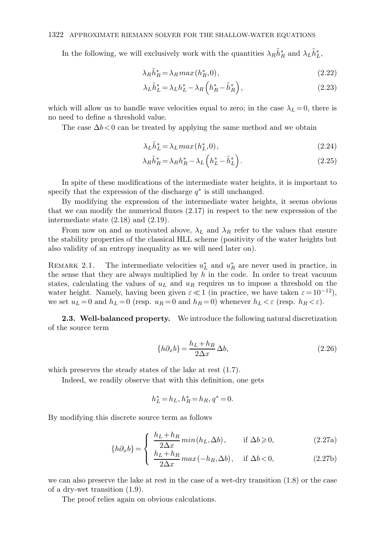In the following, we will exclusively work with the quantities  $\lambda_R \tilde{h}_R^*$  and  $\lambda_L \tilde{h}_L^*$ ,

$$
\lambda_R \tilde{h}_R^* = \lambda_R \max(h_R^*, 0), \qquad (2.22)
$$

$$
\lambda_L \tilde{h}_L^* = \lambda_L h_L^* - \lambda_R \left( h_R^* - \tilde{h}_R^* \right),\tag{2.23}
$$

which will allow us to handle wave velocities equal to zero; in the case  $\lambda_L = 0$ , there is no need to define a threshold value.

The case  $\Delta b < 0$  can be treated by applying the same method and we obtain

$$
\lambda_L \tilde{h}_L^* = \lambda_L \max(h_L^*, 0), \qquad (2.24)
$$

$$
\lambda_R \tilde{h}_R^* = \lambda_R h_R^* - \lambda_L \left( h_L^* - \tilde{h}_L^* \right). \tag{2.25}
$$

In spite of these modifications of the intermediate water heights, it is important to specify that the expression of the discharge  $q^*$  is still unchanged.

By modifying the expression of the intermediate water heights, it seems obvious that we can modify the numerical fluxes (2.17) in respect to the new expression of the intermediate state (2.18) and (2.19).

From now on and as motivated above,  $\lambda_L$  and  $\lambda_R$  refer to the values that ensure the stability properties of the classical HLL scheme (positivity of the water heights but also validity of an entropy inequality as we will need later on).

REMARK 2.1. The intermediate velocities  $u_L^*$  and  $u_R^*$  are never used in practice, in the sense that they are always multiplied by h in the code. In order to treat vacuum the sense that they are always multiplied by  $h$  in the code. In order to treat vacuum states, calculating the values of  $u<sub>L</sub>$  and  $u<sub>R</sub>$  requires us to impose a threshold on the water height. Namely, having been given  $\varepsilon \ll 1$  (in practice, we have taken  $\varepsilon = 10^{-12}$ ), we set  $u_L = 0$  and  $h_L = 0$  (resp.  $u_R = 0$  and  $h_R = 0$ ) whenever  $h_L < \varepsilon$  (resp.  $h_R < \varepsilon$ ).

**2.3. Well-balanced property.** We introduce the following natural discretization of the source term

$$
\{h\partial_x b\} = \frac{h_L + h_R}{2\Delta x} \Delta b,\tag{2.26}
$$

which preserves the steady states of the lake at rest (1.7).

Indeed, we readily observe that with this definition, one gets

$$
h_L^* = h_L, h_R^* = h_R, q^* = 0.
$$

By modifying this discrete source term as follows

$$
h\partial_x b\} = \begin{cases} \frac{h_L + h_R}{2\Delta x} \min(h_L, \Delta b), & \text{if } \Delta b \ge 0, \\ \end{cases}
$$
 (2.27a)

$$
{h\partial_x b} = \begin{cases} hL + h_R \\ \frac{h_L + h_R}{2\Delta x} \max(-h_R, \Delta b), & \text{if } \Delta b < 0, \end{cases}
$$
 (2.27b)

we can also preserve the lake at rest in the case of a wet-dry transition (1.8) or the case of a dry-wet transition (1.9).

The proof relies again on obvious calculations.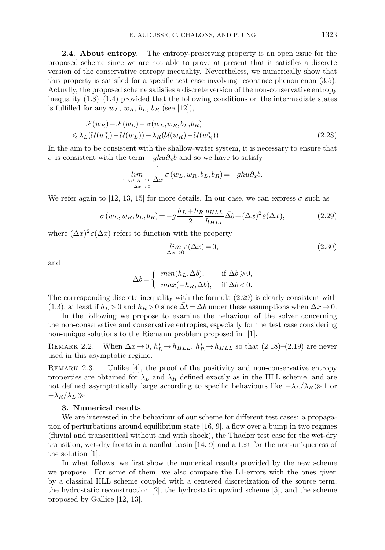**2.4. About entropy.** The entropy-preserving property is an open issue for the proposed scheme since we are not able to prove at present that it satisfies a discrete version of the conservative entropy inequality. Nevertheless, we numerically show that this property is satisfied for a specific test case involving resonance phenomenon (3.5). Actually, the proposed scheme satisfies a discrete version of the non-conservative entropy inequality  $(1.3)$ – $(1.4)$  provided that the following conditions on the intermediate states is fulfilled for any  $w_L$ ,  $w_R$ ,  $b_L$ ,  $b_R$  (see [12]),

$$
\mathcal{F}(w_R) - \mathcal{F}(w_L) - \sigma(w_L, w_R, b_L, b_R)
$$
  

$$
\leq \lambda_L(\mathcal{U}(w_L^*) - \mathcal{U}(w_L)) + \lambda_R(\mathcal{U}(w_R) - \mathcal{U}(w_R^*)).
$$
 (2.28)

In the aim to be consistent with the shallow-water system, it is necessary to ensure that  $\sigma$  is consistent with the term  $-ghu\partial_xb$  and so we have to satisfy

$$
\lim_{\substack{w_L, w_R \to w \\ \Delta x \to 0}} \frac{1}{\Delta x} \sigma(w_L, w_R, b_L, b_R) = -ghu \partial_x b.
$$

We refer again to [12, 13, 15] for more details. In our case, we can express  $\sigma$  such as

$$
\sigma(w_L, w_R, b_L, b_R) = -g \frac{h_L + h_R}{2} \frac{q_{HLL}}{h_{HLL}} \bar{\Delta b} + (\Delta x)^2 \varepsilon (\Delta x), \tag{2.29}
$$

where  $(\Delta x)^2 \varepsilon (\Delta x)$  refers to function with the property

$$
\lim_{\Delta x \to 0} \varepsilon(\Delta x) = 0,\tag{2.30}
$$

and

$$
\bar{\Delta b} = \begin{cases}\n\min(h_L, \Delta b), & \text{if } \Delta b \geqslant 0, \\
\max(-h_R, \Delta b), & \text{if } \Delta b < 0.\n\end{cases}
$$

The corresponding discrete inequality with the formula (2.29) is clearly consistent with (1.3), at least if  $h_L > 0$  and  $h_R > 0$  since  $\Delta b = \Delta b$  under these assumptions when  $\Delta x \to 0$ .

In the following we propose to examine the behaviour of the solver concerning the non-conservative and conservative entropies, especially for the test case considering non-unique solutions to the Riemann problem proposed in [1].

REMARK 2.2. When  $\Delta x \to 0$ ,  $h_L^* \to h_{HLL}$ ,  $h_R^* \to h_{HLL}$  so that  $(2.18)$ – $(2.19)$  are never used in this asymptotic regime.

REMARK 2.3. Unlike  $[4]$ , the proof of the positivity and non-conservative entropy properties are obtained for  $\lambda_L$  and  $\lambda_R$  defined exactly as in the HLL scheme, and are not defined asymptotically large according to specific behaviours like  $-\lambda_L/\lambda_R \gg 1$  or  $-\lambda_R/\lambda_L \gg 1.$ 

## **3. Numerical results**

We are interested in the behaviour of our scheme for different test cases: a propagation of perturbations around equilibrium state [16, 9], a flow over a bump in two regimes (fluvial and transcritical without and with shock), the Thacker test case for the wet-dry transition, wet-dry fronts in a nonflat basin [14, 9] and a test for the non-uniqueness of the solution [1].

In what follows, we first show the numerical results provided by the new scheme we propose. For some of them, we also compare the L1-errors with the ones given by a classical HLL scheme coupled with a centered discretization of the source term, the hydrostatic reconstruction [2], the hydrostatic upwind scheme [5], and the scheme proposed by Gallice [12, 13].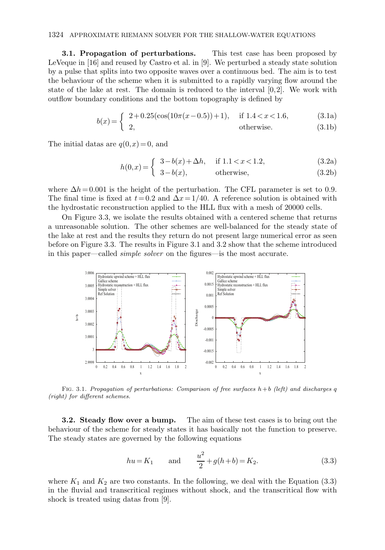**3.1. Propagation of perturbations.** This test case has been proposed by LeVeque in [16] and reused by Castro et al. in [9]. We perturbed a steady state solution by a pulse that splits into two opposite waves over a continuous bed. The aim is to test the behaviour of the scheme when it is submitted to a rapidly varying flow around the state of the lake at rest. The domain is reduced to the interval  $[0,2]$ . We work with outflow boundary conditions and the bottom topography is defined by

$$
b(x) = \begin{cases} 2 + 0.25(\cos(10\pi(x - 0.5)) + 1), & \text{if } 1.4 < x < 1.6, \\ 0 & \text{otherwise} \end{cases}
$$
 (3.1a)

2, otherwise. (3.1b)

The initial datas are  $q(0, x) = 0$ , and

$$
h(0,x) = \begin{cases} 3 - b(x) + \Delta h, & \text{if } 1.1 < x < 1.2, \\ 0, & \text{if } 1.1 < x < 1.2, \end{cases}
$$
 (3.2a)

$$
(3.2b)
$$
 3-*b*(*x*), otherwise, (3.2b)

where  $\Delta h = 0.001$  is the height of the perturbation. The CFL parameter is set to 0.9. The final time is fixed at  $t = 0.2$  and  $\Delta x = 1/40$ . A reference solution is obtained with the hydrostatic reconstruction applied to the HLL flux with a mesh of 20000 cells.

On Figure 3.3, we isolate the results obtained with a centered scheme that returns a unreasonable solution. The other schemes are well-balanced for the steady state of the lake at rest and the results they return do not present large numerical error as seen before on Figure 3.3. The results in Figure 3.1 and 3.2 show that the scheme introduced in this paper—called simple solver on the figures—is the most accurate.



FIG. 3.1. Propagation of perturbations: Comparison of free surfaces  $h + b$  (left) and discharges q (right) for different schemes.

**3.2. Steady flow over a bump.** The aim of these test cases is to bring out the behaviour of the scheme for steady states it has basically not the function to preserve. The steady states are governed by the following equations

$$
hu = K_1
$$
 and  $\frac{u^2}{2} + g(h+b) = K_2.$  (3.3)

where  $K_1$  and  $K_2$  are two constants. In the following, we deal with the Equation (3.3) in the fluvial and transcritical regimes without shock, and the transcritical flow with shock is treated using datas from [9].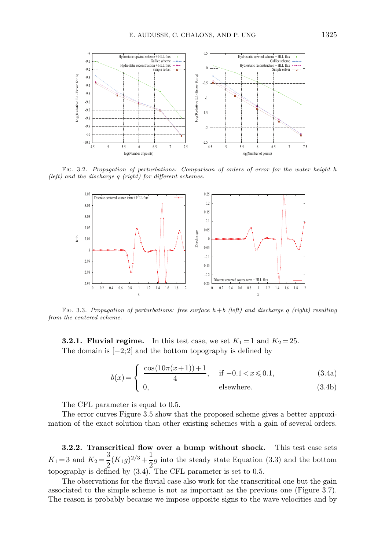

Fig. 3.2. Propagation of perturbations: Comparison of orders of error for the water height <sup>h</sup> (left) and the discharge q (right) for different schemes.



FIG. 3.3. Propagation of perturbations: free surface  $h + b$  (left) and discharge q (right) resulting from the centered scheme.

**3.2.1. Fluvial regime.** In this test case, we set  $K_1 = 1$  and  $K_2 = 25$ . The domain is  $[-2, 2]$  and the bottom topography is defined by

$$
b(x) = \begin{cases} \frac{\cos(10\pi(x+1)) + 1}{4}, & \text{if } -0.1 < x \le 0.1, \\ 0, & \text{elsewhere.} \end{cases}
$$
 (3.4a)

The CFL parameter is equal to 0.5.

The error curves Figure 3.5 show that the proposed scheme gives a better approximation of the exact solution than other existing schemes with a gain of several orders.

**3.2.2. Transcritical flow over a bump without shock.** This test case sets  $K_1 = 3$  and  $K_2 = \frac{3}{2}(K_1g)^{2/3} + \frac{1}{2}$  $\frac{1}{2}g$  into the steady state Equation (3.3) and the bottom topography is defined by (3.4). The CFL parameter is set to 0.5.

The observations for the fluvial case also work for the transcritical one but the gain associated to the simple scheme is not as important as the previous one (Figure 3.7). The reason is probably because we impose opposite signs to the wave velocities and by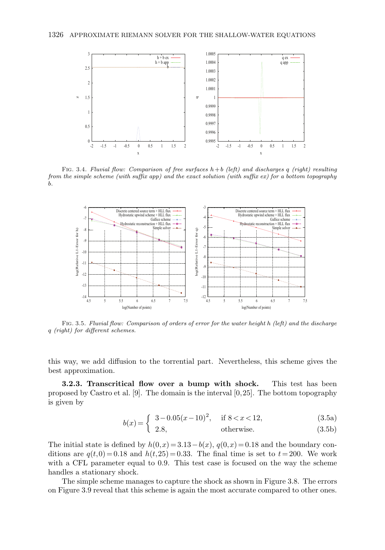

FIG. 3.4. Fluvial flow: Comparison of free surfaces  $h+b$  (left) and discharges q (right) resulting from the simple scheme (with suffix app) and the exact solution (with suffix ex) for a bottom topography b.



Fig. 3.5. Fluvial flow: Comparison of orders of error for the water height <sup>h</sup> (left) and the discharge q (right) for different schemes.

this way, we add diffusion to the torrential part. Nevertheless, this scheme gives the best approximation.

**3.2.3. Transcritical flow over a bump with shock.** This test has been proposed by Castro et al. [9]. The domain is the interval [0,25]. The bottom topography is given by

$$
b(x) = \begin{cases} 3 - 0.05(x - 10)^2, & \text{if } 8 < x < 12, \\ 0.05x - 0.05(x - 10)^2, & \text{if } 8 < x < 12. \end{cases}
$$

$$
(2.8, \t otherwise. \t(3.5b)
$$

The initial state is defined by  $h(0,x)=3.13-b(x)$ ,  $q(0,x)=0.18$  and the boundary conditions are  $q(t,0) = 0.18$  and  $h(t,25) = 0.33$ . The final time is set to  $t = 200$ . We work with a CFL parameter equal to 0.9. This test case is focused on the way the scheme handles a stationary shock.

The simple scheme manages to capture the shock as shown in Figure 3.8. The errors on Figure 3.9 reveal that this scheme is again the most accurate compared to other ones.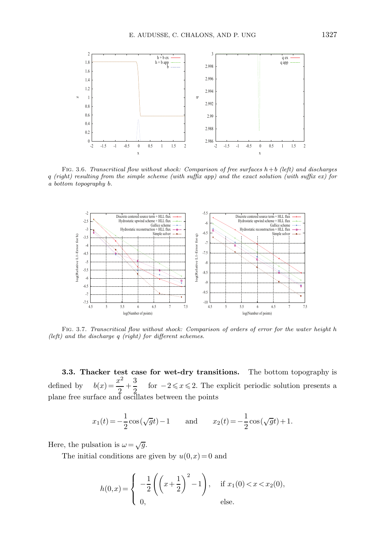

FIG. 3.6. Transcritical flow without shock: Comparison of free surfaces  $h + b$  (left) and discharges q (right) resulting from the simple scheme (with suffix app) and the exact solution (with suffix ex) for a bottom topography b.



Fig. 3.7. Transcritical flow without shock: Comparison of orders of error for the water height <sup>h</sup> (left) and the discharge q (right) for different schemes.

**3.3. Thacker test case for wet-dry transitions.** The bottom topography is defined by  $b(x) = \frac{x}{2}$  $\frac{x^2}{2} + \frac{3}{2}$ 2 for  $-2 \le x \le 2$ . The explicit periodic solution presents a plane free surface and oscillates between the points

$$
x_1(t) = -\frac{1}{2}\cos(\sqrt{g}t) - 1
$$
 and  $x_2(t) = -\frac{1}{2}\cos(\sqrt{g}t) + 1.$ 

Here, the pulsation is  $\omega = \sqrt{g}$ .

The initial conditions are given by  $u(0,x) = 0$  and

$$
h(0,x) = \begin{cases} -\frac{1}{2} \left( \left( x + \frac{1}{2} \right)^2 - 1 \right), & \text{if } x_1(0) < x < x_2(0), \\ 0, & \text{else.} \end{cases}
$$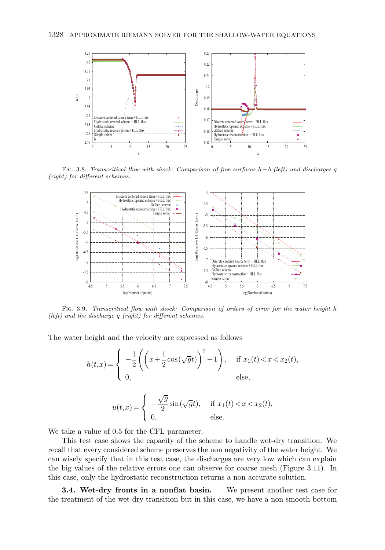

FIG. 3.8. Transcritical flow with shock: Comparison of free surfaces  $h + b$  (left) and discharges q (right) for different schemes.



Fig. 3.9. Transcritical flow with shock: Comparison of orders of error for the water height <sup>h</sup> (left) and the discharge q (right) for different schemes.

The water height and the velocity are expressed as follows

$$
h(t,x) = \begin{cases} -\frac{1}{2} \left( \left( x + \frac{1}{2} \cos(\sqrt{g}t) \right)^2 - 1 \right), & \text{if } x_1(t) < x < x_2(t), \\ 0, & \text{else,} \end{cases}
$$

$$
u(t,x) = \begin{cases} -\frac{\sqrt{g}}{2}\sin(\sqrt{g}t), & \text{if } x_1(t) < x < x_2(t), \\ 0, & \text{else.} \end{cases}
$$

We take a value of 0.5 for the CFL parameter.

This test case shows the capacity of the scheme to handle wet-dry transition. We recall that every considered scheme preserves the non negativity of the water height. We can wisely specify that in this test case, the discharges are very low which can explain the big values of the relative errors one can observe for coarse mesh (Figure 3.11). In this case, only the hydrostatic reconstruction returns a non accurate solution.

**3.4. Wet-dry fronts in a nonflat basin.** We present another test case for the treatment of the wet-dry transition but in this case, we have a non smooth bottom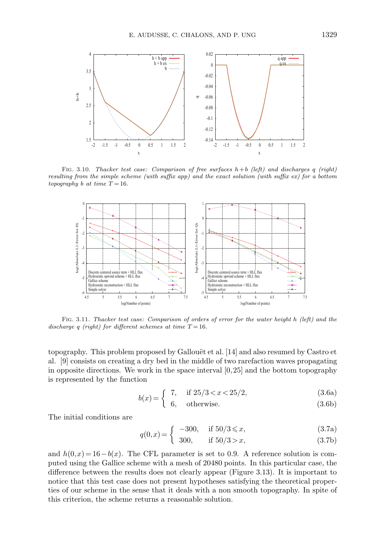

FIG. 3.10. Thacker test case: Comparison of free surfaces  $h + b$  (left) and discharges q (right) resulting from the simple scheme (with suffix app) and the exact solution (with suffix ex) for a bottom topography b at time  $T = 16$ .



Fig. 3.11. Thacker test case: Comparison of orders of error for the water height <sup>h</sup> (left) and the discharge q (right) for different schemes at time  $T = 16$ .

topography. This problem proposed by Gallouët et al. [14] and also resumed by Castro et al. [9] consists on creating a dry bed in the middle of two rarefaction waves propagating in opposite directions. We work in the space interval  $[0,25]$  and the bottom topography is represented by the function

$$
b(x) = \begin{cases} 7, & \text{if } 25/3 < x < 25/2, \\ 2, & \text{otherwise} \end{cases}
$$
 (3.6a)

$$
\begin{array}{c}\n \downarrow \quad 6, \quad \text{otherwise.} \\
 \end{array} \tag{3.6b}
$$

The initial conditions are

$$
q(0,x) = \begin{cases} -300, & \text{if } 50/3 \le x, \\ -\cos x, & \text{if } x \le x \end{cases} \tag{3.7a}
$$

$$
(3.7b) \t\t 300, \t\t if \t50/3 > x,
$$
\t\t(3.7b)

and  $h(0,x) = 16 - b(x)$ . The CFL parameter is set to 0.9. A reference solution is computed using the Gallice scheme with a mesh of 20480 points. In this particular case, the difference between the results does not clearly appear (Figure 3.13). It is important to notice that this test case does not present hypotheses satisfying the theoretical properties of our scheme in the sense that it deals with a non smooth topography. In spite of this criterion, the scheme returns a reasonable solution.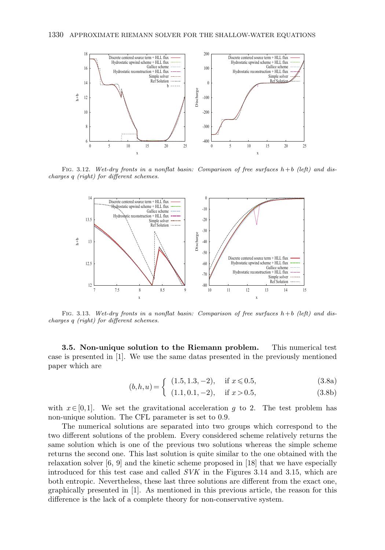

FIG. 3.12. Wet-dry fronts in a nonflat basin: Comparison of free surfaces  $h + b$  (left) and discharges q (right) for different schemes.



FIG. 3.13. Wet-dry fronts in a nonflat basin: Comparison of free surfaces  $h + b$  (left) and discharges q (right) for different schemes.

**3.5. Non-unique solution to the Riemann problem.** This numerical test case is presented in [1]. We use the same datas presented in the previously mentioned paper which are

$$
(b,h,u) = \begin{cases} (1.5,1.3,-2), & \text{if } x \leq 0.5, \\ (1.5,1.3,-2), & \text{if } x \leq 0.5, \end{cases}
$$

$$
b, h, u) = \begin{cases} (1.1, 0.1, -2), & \text{if } x > 0.5, \end{cases} \tag{3.8b}
$$

with  $x \in [0,1]$ . We set the gravitational acceleration g to 2. The test problem has non-unique solution. The CFL parameter is set to 0.9.

The numerical solutions are separated into two groups which correspond to the two different solutions of the problem. Every considered scheme relatively returns the same solution which is one of the previous two solutions whereas the simple scheme returns the second one. This last solution is quite similar to the one obtained with the relaxation solver [6, 9] and the kinetic scheme proposed in [18] that we have especially introduced for this test case and called SVK in the Figures 3.14 and 3.15, which are both entropic. Nevertheless, these last three solutions are different from the exact one, graphically presented in [1]. As mentioned in this previous article, the reason for this difference is the lack of a complete theory for non-conservative system.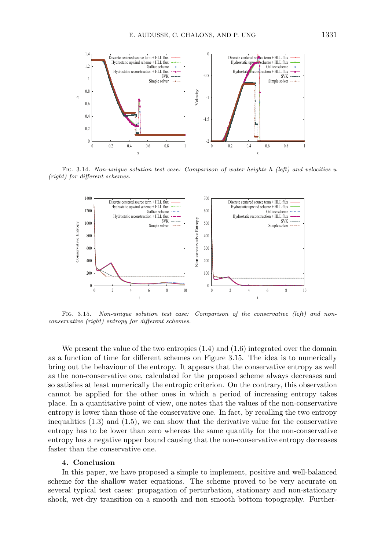

Fig. 3.14. Non-unique solution test case: Comparison of water heights <sup>h</sup> (left) and velocities <sup>u</sup> (right) for different schemes.



Fig. 3.15. Non-unique solution test case: Comparison of the conservative (left) and nonconservative (right) entropy for different schemes.

We present the value of the two entropies  $(1.4)$  and  $(1.6)$  integrated over the domain as a function of time for different schemes on Figure 3.15. The idea is to numerically bring out the behaviour of the entropy. It appears that the conservative entropy as well as the non-conservative one, calculated for the proposed scheme always decreases and so satisfies at least numerically the entropic criterion. On the contrary, this observation cannot be applied for the other ones in which a period of increasing entropy takes place. In a quantitative point of view, one notes that the values of the non-conservative entropy is lower than those of the conservative one. In fact, by recalling the two entropy inequalities  $(1.3)$  and  $(1.5)$ , we can show that the derivative value for the conservative entropy has to be lower than zero whereas the same quantity for the non-conservative entropy has a negative upper bound causing that the non-conservative entropy decreases faster than the conservative one.

## **4. Conclusion**

In this paper, we have proposed a simple to implement, positive and well-balanced scheme for the shallow water equations. The scheme proved to be very accurate on several typical test cases: propagation of perturbation, stationary and non-stationary shock, wet-dry transition on a smooth and non smooth bottom topography. Further